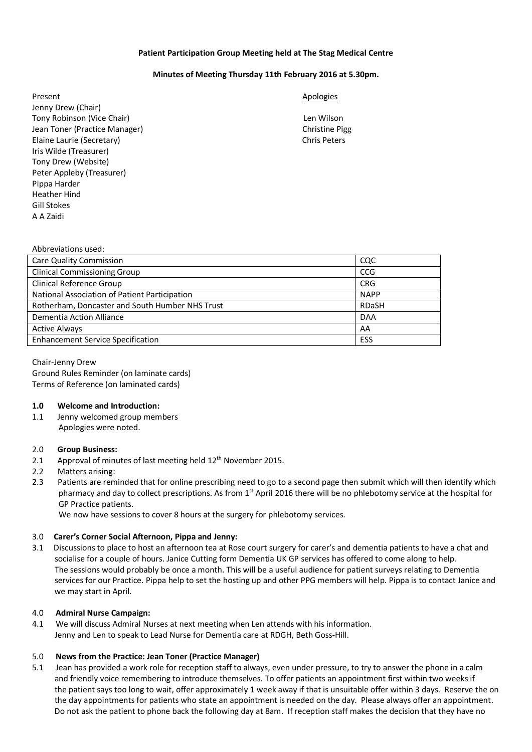## **Patient Participation Group Meeting held at The Stag Medical Centre**

## **Minutes of Meeting Thursday 11th February 2016 at 5.30pm.**

Present Apologies and Apologies and Apologies and Apologies and Apologies and Apologies and Apologies and Apologies Jenny Drew (Chair) Tony Robinson (Vice Chair) Len Wilson Jean Toner (Practice Manager) Christine Pigg Elaine Laurie (Secretary) Chris Peters Iris Wilde (Treasurer) Tony Drew (Website) Peter Appleby (Treasurer) Pippa Harder Heather Hind Gill Stokes A A Zaidi

| Abbreviations used:                             |              |
|-------------------------------------------------|--------------|
| <b>Care Quality Commission</b>                  | CQC          |
| <b>Clinical Commissioning Group</b>             | <b>CCG</b>   |
| <b>Clinical Reference Group</b>                 | <b>CRG</b>   |
| National Association of Patient Participation   | <b>NAPP</b>  |
| Rotherham, Doncaster and South Humber NHS Trust | <b>RDaSH</b> |
| Dementia Action Alliance                        | <b>DAA</b>   |
| <b>Active Always</b>                            | AA           |
| <b>Enhancement Service Specification</b>        | ESS          |
|                                                 |              |

# Chair-Jenny Drew

Ground Rules Reminder (on laminate cards) Terms of Reference (on laminated cards)

## **1.0 Welcome and Introduction:**

1.1 Jenny welcomed group members Apologies were noted.

## 2.0 **Group Business:**

- 2.1 Approval of minutes of last meeting held 12<sup>th</sup> November 2015.
- 2.2 Matters arising:
- 2.3 Patients are reminded that for online prescribing need to go to a second page then submit which will then identify which pharmacy and day to collect prescriptions. As from  $1<sup>st</sup>$  April 2016 there will be no phlebotomy service at the hospital for GP Practice patients.

We now have sessions to cover 8 hours at the surgery for phlebotomy services.

## 3.0 **Carer's Corner Social Afternoon, Pippa and Jenny:**

3.1 Discussions to place to host an afternoon tea at Rose court surgery for carer's and dementia patients to have a chat and socialise for a couple of hours. Janice Cutting form Dementia UK GP services has offered to come along to help. The sessions would probably be once a month. This will be a useful audience for patient surveys relating to Dementia services for our Practice. Pippa help to set the hosting up and other PPG members will help. Pippa is to contact Janice and we may start in April.

## 4.0 **Admiral Nurse Campaign:**

4.1 We will discuss Admiral Nurses at next meeting when Len attends with his information. Jenny and Len to speak to Lead Nurse for Dementia care at RDGH, Beth Goss-Hill.

## 5.0 **News from the Practice: Jean Toner (Practice Manager)**

5.1 Jean has provided a work role for reception staff to always, even under pressure, to try to answer the phone in a calm and friendly voice remembering to introduce themselves. To offer patients an appointment first within two weeks if the patient says too long to wait, offer approximately 1 week away if that is unsuitable offer within 3 days. Reserve the on the day appointments for patients who state an appointment is needed on the day. Please always offer an appointment. Do not ask the patient to phone back the following day at 8am. If reception staff makes the decision that they have no